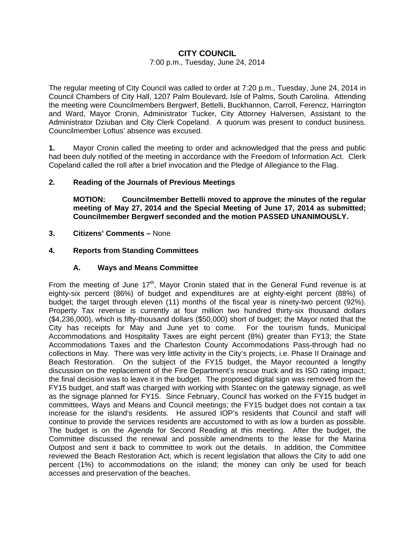# **CITY COUNCIL**

#### 7:00 p.m., Tuesday, June 24, 2014

The regular meeting of City Council was called to order at 7:20 p.m., Tuesday, June 24, 2014 in Council Chambers of City Hall, 1207 Palm Boulevard, Isle of Palms, South Carolina. Attending the meeting were Councilmembers Bergwerf, Bettelli, Buckhannon, Carroll, Ferencz, Harrington and Ward, Mayor Cronin, Administrator Tucker, City Attorney Halversen, Assistant to the Administrator Dziuban and City Clerk Copeland. A quorum was present to conduct business. Councilmember Loftus' absence was excused.

**1.** Mayor Cronin called the meeting to order and acknowledged that the press and public had been duly notified of the meeting in accordance with the Freedom of Information Act. Clerk Copeland called the roll after a brief invocation and the Pledge of Allegiance to the Flag.

### **2. Reading of the Journals of Previous Meetings**

 **MOTION: Councilmember Bettelli moved to approve the minutes of the regular meeting of May 27, 2014 and the Special Meeting of June 17, 2014 as submitted; Councilmember Bergwerf seconded and the motion PASSED UNANIMOUSLY.** 

**3. Citizens' Comments –** None

# **4. Reports from Standing Committees**

### **A. Ways and Means Committee**

From the meeting of June  $17<sup>th</sup>$ , Mayor Cronin stated that in the General Fund revenue is at eighty-six percent (86%) of budget and expenditures are at eighty-eight percent (88%) of budget; the target through eleven (11) months of the fiscal year is ninety-two percent (92%). Property Tax revenue is currently at four million two hundred thirty-six thousand dollars (\$4,236,000), which is fifty-thousand dollars (\$50,000) short of budget; the Mayor noted that the City has receipts for May and June yet to come. For the tourism funds, Municipal Accommodations and Hospitality Taxes are eight percent (8%) greater than FY13; the State Accommodations Taxes and the Charleston County Accommodations Pass-through had no collections in May. There was very little activity in the City's projects, i.e. Phase II Drainage and Beach Restoration. On the subject of the FY15 budget, the Mayor recounted a lengthy discussion on the replacement of the Fire Department's rescue truck and its ISO rating impact; the final decision was to leave it in the budget. The proposed digital sign was removed from the FY15 budget, and staff was charged with working with Stantec on the gateway signage, as well as the signage planned for FY15. Since February, Council has worked on the FY15 budget in committees, Ways and Means and Council meetings; the FY15 budget does not contain a tax increase for the island's residents. He assured IOP's residents that Council and staff will continue to provide the services residents are accustomed to with as low a burden as possible. The budget is on the *Agenda* for Second Reading at this meeting. After the budget, the Committee discussed the renewal and possible amendments to the lease for the Marina Outpost and sent it back to committee to work out the details. In addition, the Committee reviewed the Beach Restoration Act, which is recent legislation that allows the City to add one percent (1%) to accommodations on the island; the money can only be used for beach accesses and preservation of the beaches.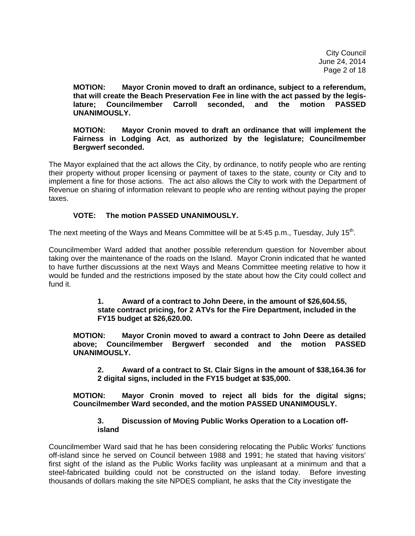City Council June 24, 2014 Page 2 of 18

**MOTION: Mayor Cronin moved to draft an ordinance, subject to a referendum, that will create the Beach Preservation Fee in line with the act passed by the legis lature; Councilmember Carroll seconded, and the motion PASSED UNANIMOUSLY.** 

**MOTION: Mayor Cronin moved to draft an ordinance that will implement the Fairness in Lodging Act**, **as authorized by the legislature; Councilmember Bergwerf seconded.** 

The Mayor explained that the act allows the City, by ordinance, to notify people who are renting their property without proper licensing or payment of taxes to the state, county or City and to implement a fine for those actions. The act also allows the City to work with the Department of Revenue on sharing of information relevant to people who are renting without paying the proper taxes.

# **VOTE: The motion PASSED UNANIMOUSLY.**

The next meeting of the Ways and Means Committee will be at 5:45 p.m., Tuesday, July 15<sup>th</sup>.

Councilmember Ward added that another possible referendum question for November about taking over the maintenance of the roads on the Island. Mayor Cronin indicated that he wanted to have further discussions at the next Ways and Means Committee meeting relative to how it would be funded and the restrictions imposed by the state about how the City could collect and fund it.

#### **1. Award of a contract to John Deere, in the amount of \$26,604.55, state contract pricing, for 2 ATVs for the Fire Department, included in the FY15 budget at \$26,620.00.**

 **MOTION: Mayor Cronin moved to award a contract to John Deere as detailed above; Councilmember Bergwerf seconded and the motion PASSED UNANIMOUSLY.** 

 **2. Award of a contract to St. Clair Signs in the amount of \$38,164.36 for 2 digital signs, included in the FY15 budget at \$35,000.** 

 **MOTION: Mayor Cronin moved to reject all bids for the digital signs; Councilmember Ward seconded, and the motion PASSED UNANIMOUSLY.** 

### **3. Discussion of Moving Public Works Operation to a Location off island**

Councilmember Ward said that he has been considering relocating the Public Works' functions off-island since he served on Council between 1988 and 1991; he stated that having visitors' first sight of the island as the Public Works facility was unpleasant at a minimum and that a steel-fabricated building could not be constructed on the island today. Before investing thousands of dollars making the site NPDES compliant, he asks that the City investigate the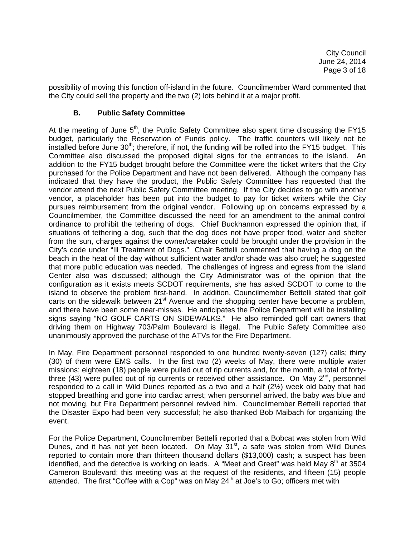possibility of moving this function off-island in the future. Councilmember Ward commented that the City could sell the property and the two (2) lots behind it at a major profit.

# **B. Public Safety Committee**

At the meeting of June  $5<sup>th</sup>$ , the Public Safety Committee also spent time discussing the FY15 budget, particularly the Reservation of Funds policy. The traffic counters will likely not be installed before June 30<sup>th</sup>; therefore, if not, the funding will be rolled into the FY15 budget. This Committee also discussed the proposed digital signs for the entrances to the island. An addition to the FY15 budget brought before the Committee were the ticket writers that the City purchased for the Police Department and have not been delivered. Although the company has indicated that they have the product, the Public Safety Committee has requested that the vendor attend the next Public Safety Committee meeting. If the City decides to go with another vendor, a placeholder has been put into the budget to pay for ticket writers while the City pursues reimbursement from the original vendor. Following up on concerns expressed by a Councilmember, the Committee discussed the need for an amendment to the animal control ordinance to prohibit the tethering of dogs. Chief Buckhannon expressed the opinion that, if situations of tethering a dog, such that the dog does not have proper food, water and shelter from the sun, charges against the owner/caretaker could be brought under the provision in the City's code under "Ill Treatment of Dogs." Chair Bettelli commented that having a dog on the beach in the heat of the day without sufficient water and/or shade was also cruel; he suggested that more public education was needed. The challenges of ingress and egress from the Island Center also was discussed; although the City Administrator was of the opinion that the configuration as it exists meets SCDOT requirements, she has asked SCDOT to come to the island to observe the problem first-hand. In addition, Councilmember Bettelli stated that golf carts on the sidewalk between 21<sup>st</sup> Avenue and the shopping center have become a problem, and there have been some near-misses. He anticipates the Police Department will be installing signs saying "NO GOLF CARTS ON SIDEWALKS." He also reminded golf cart owners that driving them on Highway 703/Palm Boulevard is illegal. The Public Safety Committee also unanimously approved the purchase of the ATVs for the Fire Department.

In May, Fire Department personnel responded to one hundred twenty-seven (127) calls; thirty (30) of them were EMS calls. In the first two (2) weeks of May, there were multiple water missions; eighteen (18) people were pulled out of rip currents and, for the month, a total of fortythree (43) were pulled out of rip currents or received other assistance. On May  $2^{nd}$ , personnel responded to a call in Wild Dunes reported as a two and a half (2½) week old baby that had stopped breathing and gone into cardiac arrest; when personnel arrived, the baby was blue and not moving, but Fire Department personnel revived him. Councilmember Bettelli reported that the Disaster Expo had been very successful; he also thanked Bob Maibach for organizing the event.

For the Police Department, Councilmember Bettelli reported that a Bobcat was stolen from Wild Dunes, and it has not yet been located. On May 31<sup>st</sup>, a safe was stolen from Wild Dunes reported to contain more than thirteen thousand dollars (\$13,000) cash; a suspect has been identified, and the detective is working on leads. A "Meet and Greet" was held May  $8<sup>th</sup>$  at 3504 Cameron Boulevard; this meeting was at the request of the residents, and fifteen (15) people attended. The first "Coffee with a Cop" was on May  $24<sup>th</sup>$  at Joe's to Go; officers met with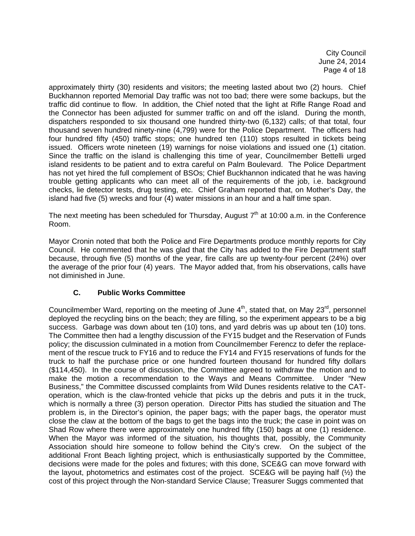City Council June 24, 2014 Page 4 of 18

approximately thirty (30) residents and visitors; the meeting lasted about two (2) hours. Chief Buckhannon reported Memorial Day traffic was not too bad; there were some backups, but the traffic did continue to flow. In addition, the Chief noted that the light at Rifle Range Road and the Connector has been adjusted for summer traffic on and off the island. During the month, dispatchers responded to six thousand one hundred thirty-two (6,132) calls; of that total, four thousand seven hundred ninety-nine (4,799) were for the Police Department. The officers had four hundred fifty (450) traffic stops; one hundred ten (110) stops resulted in tickets being issued. Officers wrote nineteen (19) warnings for noise violations and issued one (1) citation. Since the traffic on the island is challenging this time of year, Councilmember Bettelli urged island residents to be patient and to extra careful on Palm Boulevard. The Police Department has not yet hired the full complement of BSOs; Chief Buckhannon indicated that he was having trouble getting applicants who can meet all of the requirements of the job, i.e. background checks, lie detector tests, drug testing, etc. Chief Graham reported that, on Mother's Day, the island had five (5) wrecks and four (4) water missions in an hour and a half time span.

The next meeting has been scheduled for Thursday, August  $7<sup>th</sup>$  at 10:00 a.m. in the Conference Room.

Mayor Cronin noted that both the Police and Fire Departments produce monthly reports for City Council. He commented that he was glad that the City has added to the Fire Department staff because, through five (5) months of the year, fire calls are up twenty-four percent (24%) over the average of the prior four (4) years. The Mayor added that, from his observations, calls have not diminished in June.

# **C. Public Works Committee**

Councilmember Ward, reporting on the meeting of June  $4<sup>th</sup>$ , stated that, on May 23<sup>rd</sup>, personnel deployed the recycling bins on the beach; they are filling, so the experiment appears to be a big success. Garbage was down about ten (10) tons, and yard debris was up about ten (10) tons. The Committee then had a lengthy discussion of the FY15 budget and the Reservation of Funds policy; the discussion culminated in a motion from Councilmember Ferencz to defer the replacement of the rescue truck to FY16 and to reduce the FY14 and FY15 reservations of funds for the truck to half the purchase price or one hundred fourteen thousand for hundred fifty dollars (\$114,450). In the course of discussion, the Committee agreed to withdraw the motion and to make the motion a recommendation to the Ways and Means Committee. Under "New Business," the Committee discussed complaints from Wild Dunes residents relative to the CAToperation, which is the claw-fronted vehicle that picks up the debris and puts it in the truck, which is normally a three (3) person operation. Director Pitts has studied the situation and The problem is, in the Director's opinion, the paper bags; with the paper bags, the operator must close the claw at the bottom of the bags to get the bags into the truck; the case in point was on Shad Row where there were approximately one hundred fifty (150) bags at one (1) residence. When the Mayor was informed of the situation, his thoughts that, possibly, the Community Association should hire someone to follow behind the City's crew. On the subject of the additional Front Beach lighting project, which is enthusiastically supported by the Committee, decisions were made for the poles and fixtures; with this done, SCE&G can move forward with the layout, photometrics and estimates cost of the project. SCE&G will be paying half (½) the cost of this project through the Non-standard Service Clause: Treasurer Suggs commented that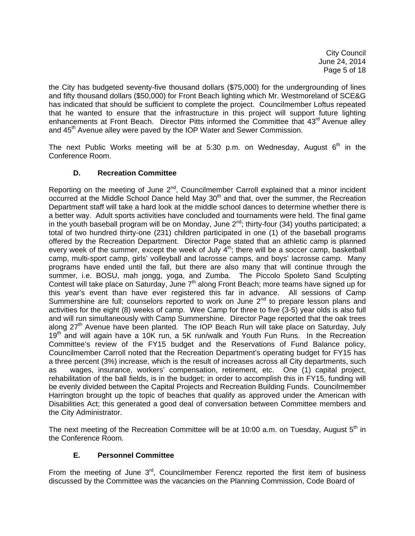City Council June 24, 2014 Page 5 of 18

the City has budgeted seventy-five thousand dollars (\$75,000) for the undergrounding of lines and fifty thousand dollars (\$50,000) for Front Beach lighting which Mr. Westmoreland of SCE&G has indicated that should be sufficient to complete the project. Councilmember Loftus repeated that he wanted to ensure that the infrastructure in this project will support future lighting enhancements at Front Beach. Director Pitts informed the Committee that 43<sup>rd</sup> Avenue alley and 45<sup>th</sup> Avenue alley were paved by the IOP Water and Sewer Commission.

The next Public Works meeting will be at 5:30 p.m. on Wednesday, August  $6<sup>th</sup>$  in the Conference Room.

# **D. Recreation Committee**

Reporting on the meeting of June 2<sup>nd</sup>, Councilmember Carroll explained that a minor incident occurred at the Middle School Dance held May 30<sup>th</sup> and that, over the summer, the Recreation Department staff will take a hard look at the middle school dances to determine whether there is a better way. Adult sports activities have concluded and tournaments were held. The final game in the youth baseball program will be on Monday, June  $2^{nd}$ ; thirty-four (34) youths participated; a total of two hundred thirty-one (231) children participated in one (1) of the baseball programs offered by the Recreation Department. Director Page stated that an athletic camp is planned every week of the summer, except the week of July  $4<sup>th</sup>$ ; there will be a soccer camp, basketball camp, multi-sport camp, girls' volleyball and lacrosse camps, and boys' lacrosse camp. Many programs have ended until the fall, but there are also many that will continue through the summer, i.e. BOSU, mah jongg, yoga, and Zumba. The Piccolo Spoleto Sand Sculpting Contest will take place on Saturday, June 7<sup>th</sup> along Front Beach; more teams have signed up for this year's event than have ever registered this far in advance. All sessions of Camp Summershine are full; counselors reported to work on June  $2<sup>nd</sup>$  to prepare lesson plans and activities for the eight (8) weeks of camp. Wee Camp for three to five (3-5) year olds is also full and will run simultaneously with Camp Summershine. Director Page reported that the oak trees along 27<sup>th</sup> Avenue have been planted. The IOP Beach Run will take place on Saturday, July 19<sup>th</sup> and will again have a 10K run, a 5K run/walk and Youth Fun Runs. In the Recreation Committee's review of the FY15 budget and the Reservations of Fund Balance policy, Councilmember Carroll noted that the Recreation Department's operating budget for FY15 has a three percent (3%) increase, which is the result of increases across all City departments, such as wages, insurance, workers' compensation, retirement, etc. One (1) capital project, rehabilitation of the ball fields, is in the budget; in order to accomplish this in FY15, funding will be evenly divided between the Capital Projects and Recreation Building Funds. Councilmember Harrington brought up the topic of beaches that qualify as approved under the American with Disabilities Act; this generated a good deal of conversation between Committee members and the City Administrator.

The next meeting of the Recreation Committee will be at 10:00 a.m. on Tuesday, August  $5<sup>th</sup>$  in the Conference Room.

# **E. Personnel Committee**

From the meeting of June  $3<sup>rd</sup>$ , Councilmember Ferencz reported the first item of business discussed by the Committee was the vacancies on the Planning Commission, Code Board of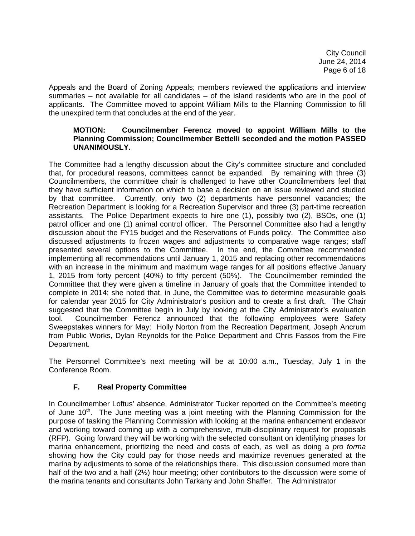City Council June 24, 2014 Page 6 of 18

Appeals and the Board of Zoning Appeals; members reviewed the applications and interview summaries – not available for all candidates – of the island residents who are in the pool of applicants. The Committee moved to appoint William Mills to the Planning Commission to fill the unexpired term that concludes at the end of the year.

# **MOTION: Councilmember Ferencz moved to appoint William Mills to the Planning Commission; Councilmember Bettelli seconded and the motion PASSED UNANIMOUSLY.**

The Committee had a lengthy discussion about the City's committee structure and concluded that, for procedural reasons, committees cannot be expanded. By remaining with three (3) Councilmembers, the committee chair is challenged to have other Councilmembers feel that they have sufficient information on which to base a decision on an issue reviewed and studied by that committee. Currently, only two (2) departments have personnel vacancies; the Recreation Department is looking for a Recreation Supervisor and three (3) part-time recreation assistants. The Police Department expects to hire one (1), possibly two (2), BSOs, one (1) patrol officer and one (1) animal control officer. The Personnel Committee also had a lengthy discussion about the FY15 budget and the Reservations of Funds policy. The Committee also discussed adjustments to frozen wages and adjustments to comparative wage ranges; staff presented several options to the Committee. In the end, the Committee recommended implementing all recommendations until January 1, 2015 and replacing other recommendations with an increase in the minimum and maximum wage ranges for all positions effective January 1, 2015 from forty percent (40%) to fifty percent (50%). The Councilmember reminded the Committee that they were given a timeline in January of goals that the Committee intended to complete in 2014; she noted that, in June, the Committee was to determine measurable goals for calendar year 2015 for City Administrator's position and to create a first draft. The Chair suggested that the Committee begin in July by looking at the City Administrator's evaluation tool. Councilmember Ferencz announced that the following employees were Safety Sweepstakes winners for May: Holly Norton from the Recreation Department, Joseph Ancrum from Public Works, Dylan Reynolds for the Police Department and Chris Fassos from the Fire Department.

The Personnel Committee's next meeting will be at 10:00 a.m., Tuesday, July 1 in the Conference Room.

# **F. Real Property Committee**

In Councilmember Loftus' absence, Administrator Tucker reported on the Committee's meeting of June  $10<sup>th</sup>$ . The June meeting was a joint meeting with the Planning Commission for the purpose of tasking the Planning Commission with looking at the marina enhancement endeavor and working toward coming up with a comprehensive, multi-disciplinary request for proposals (RFP). Going forward they will be working with the selected consultant on identifying phases for marina enhancement, prioritizing the need and costs of each, as well as doing a *pro forma*  showing how the City could pay for those needs and maximize revenues generated at the marina by adjustments to some of the relationships there. This discussion consumed more than half of the two and a half (2½) hour meeting; other contributors to the discussion were some of the marina tenants and consultants John Tarkany and John Shaffer. The Administrator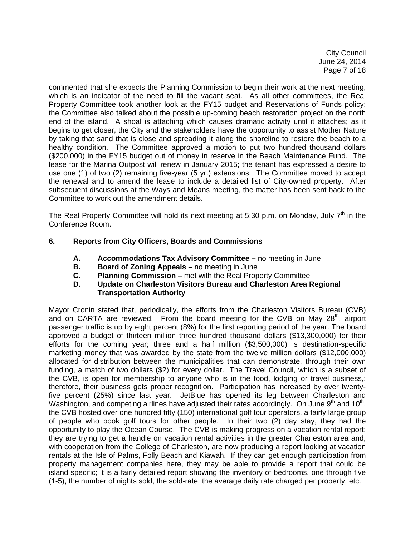City Council June 24, 2014 Page 7 of 18

commented that she expects the Planning Commission to begin their work at the next meeting, which is an indicator of the need to fill the vacant seat. As all other committees, the Real Property Committee took another look at the FY15 budget and Reservations of Funds policy; the Committee also talked about the possible up-coming beach restoration project on the north end of the island. A shoal is attaching which causes dramatic activity until it attaches; as it begins to get closer, the City and the stakeholders have the opportunity to assist Mother Nature by taking that sand that is close and spreading it along the shoreline to restore the beach to a healthy condition. The Committee approved a motion to put two hundred thousand dollars (\$200,000) in the FY15 budget out of money in reserve in the Beach Maintenance Fund. The lease for the Marina Outpost will renew in January 2015; the tenant has expressed a desire to use one (1) of two (2) remaining five-year (5 yr.) extensions. The Committee moved to accept the renewal and to amend the lease to include a detailed list of City-owned property. After subsequent discussions at the Ways and Means meeting, the matter has been sent back to the Committee to work out the amendment details.

The Real Property Committee will hold its next meeting at 5:30 p.m. on Monday, July  $7<sup>th</sup>$  in the Conference Room.

# **6. Reports from City Officers, Boards and Commissions**

- **A. Accommodations Tax Advisory Committee** no meeting in June
- **B.** Board of Zoning Appeals no meeting in June
- **C. Planning Commission** met with the Real Property Committee
- **D. Update on Charleston Visitors Bureau and Charleston Area Regional Transportation Authority**

Mayor Cronin stated that, periodically, the efforts from the Charleston Visitors Bureau (CVB) and on CARTA are reviewed. From the board meeting for the CVB on May  $28<sup>th</sup>$ , airport passenger traffic is up by eight percent (8%) for the first reporting period of the year. The board approved a budget of thirteen million three hundred thousand dollars (\$13,300,000) for their efforts for the coming year; three and a half million (\$3,500,000) is destination-specific marketing money that was awarded by the state from the twelve million dollars (\$12,000,000) allocated for distribution between the municipalities that can demonstrate, through their own funding, a match of two dollars (\$2) for every dollar. The Travel Council, which is a subset of the CVB, is open for membership to anyone who is in the food, lodging or travel business,; therefore, their business gets proper recognition. Participation has increased by over twentyfive percent (25%) since last year. JetBlue has opened its leg between Charleston and Washington, and competing airlines have adjusted their rates accordingly. On June  $9<sup>th</sup>$  and  $10<sup>th</sup>$ , the CVB hosted over one hundred fifty (150) international golf tour operators, a fairly large group of people who book golf tours for other people. In their two (2) day stay, they had the opportunity to play the Ocean Course. The CVB is making progress on a vacation rental report; they are trying to get a handle on vacation rental activities in the greater Charleston area and, with cooperation from the College of Charleston, are now producing a report looking at vacation rentals at the Isle of Palms, Folly Beach and Kiawah. If they can get enough participation from property management companies here, they may be able to provide a report that could be island specific; it is a fairly detailed report showing the inventory of bedrooms, one through five (1-5), the number of nights sold, the sold-rate, the average daily rate charged per property, etc.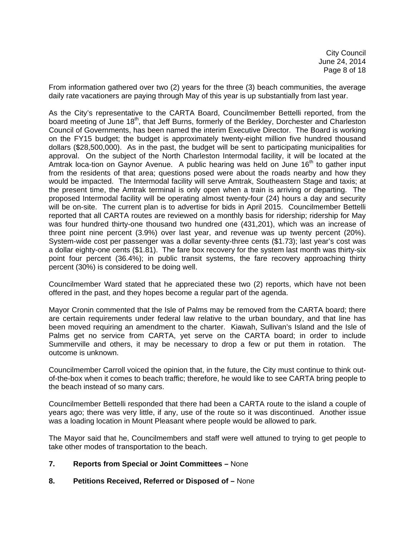From information gathered over two (2) years for the three (3) beach communities, the average daily rate vacationers are paying through May of this year is up substantially from last year.

As the City's representative to the CARTA Board, Councilmember Bettelli reported, from the board meeting of June 18<sup>th</sup>, that Jeff Burns, formerly of the Berkley, Dorchester and Charleston Council of Governments, has been named the interim Executive Director. The Board is working on the FY15 budget; the budget is approximately twenty-eight million five hundred thousand dollars (\$28,500,000). As in the past, the budget will be sent to participating municipalities for approval. On the subject of the North Charleston Intermodal facility, it will be located at the Amtrak loca-tion on Gaynor Avenue. A public hearing was held on June  $16<sup>th</sup>$  to gather input from the residents of that area; questions posed were about the roads nearby and how they would be impacted. The Intermodal facility will serve Amtrak, Southeastern Stage and taxis; at the present time, the Amtrak terminal is only open when a train is arriving or departing. The proposed Intermodal facility will be operating almost twenty-four (24) hours a day and security will be on-site. The current plan is to advertise for bids in April 2015. Councilmember Bettelli reported that all CARTA routes are reviewed on a monthly basis for ridership; ridership for May was four hundred thirty-one thousand two hundred one (431,201), which was an increase of three point nine percent (3.9%) over last year, and revenue was up twenty percent (20%). System-wide cost per passenger was a dollar seventy-three cents (\$1.73); last year's cost was a dollar eighty-one cents (\$1.81). The fare box recovery for the system last month was thirty-six point four percent (36.4%); in public transit systems, the fare recovery approaching thirty percent (30%) is considered to be doing well.

Councilmember Ward stated that he appreciated these two (2) reports, which have not been offered in the past, and they hopes become a regular part of the agenda.

Mayor Cronin commented that the Isle of Palms may be removed from the CARTA board; there are certain requirements under federal law relative to the urban boundary, and that line has been moved requiring an amendment to the charter. Kiawah, Sullivan's Island and the Isle of Palms get no service from CARTA, yet serve on the CARTA board; in order to include Summerville and others, it may be necessary to drop a few or put them in rotation. The outcome is unknown.

Councilmember Carroll voiced the opinion that, in the future, the City must continue to think outof-the-box when it comes to beach traffic; therefore, he would like to see CARTA bring people to the beach instead of so many cars.

Councilmember Bettelli responded that there had been a CARTA route to the island a couple of years ago; there was very little, if any, use of the route so it was discontinued. Another issue was a loading location in Mount Pleasant where people would be allowed to park.

The Mayor said that he, Councilmembers and staff were well attuned to trying to get people to take other modes of transportation to the beach.

# **7. Reports from Special or Joint Committees –** None

#### **8. Petitions Received, Referred or Disposed of –** None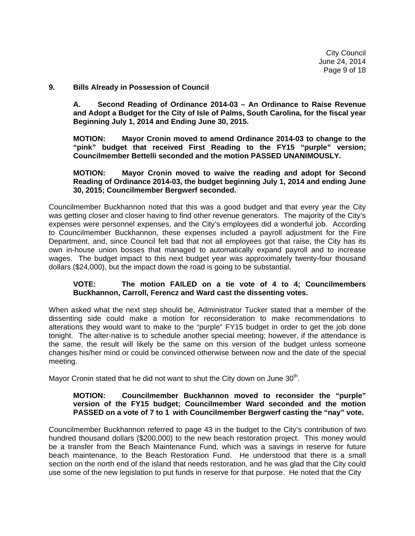City Council June 24, 2014 Page 9 of 18

#### **9. Bills Already in Possession of Council**

 **A. Second Reading of Ordinance 2014-03 – An Ordinance to Raise Revenue and Adopt a Budget for the City of Isle of Palms, South Carolina, for the fiscal year Beginning July 1, 2014 and Ending June 30, 2015.** 

 **MOTION: Mayor Cronin moved to amend Ordinance 2014-03 to change to the "pink" budget that received First Reading to the FY15 "purple" version; Councilmember Bettelli seconded and the motion PASSED UNANIMOUSLY.** 

#### **MOTION: Mayor Cronin moved to waive the reading and adopt for Second Reading of Ordinance 2014-03, the budget beginning July 1, 2014 and ending June 30, 2015; Councilmember Bergwerf seconded.**

Councilmember Buckhannon noted that this was a good budget and that every year the City was getting closer and closer having to find other revenue generators. The majority of the City's expenses were personnel expenses, and the City's employees did a wonderful job. According to Councilmember Buckhannon, these expenses included a payroll adjustment for the Fire Department, and, since Council felt bad that not all employees got that raise, the City has its own in-house union bosses that managed to automatically expand payroll and to increase wages. The budget impact to this next budget year was approximately twenty-four thousand dollars (\$24,000), but the impact down the road is going to be substantial.

# **VOTE: The motion FAILED on a tie vote of 4 to 4; Councilmembers Buckhannon, Carroll, Ferencz and Ward cast the dissenting votes.**

When asked what the next step should be, Administrator Tucker stated that a member of the dissenting side could make a motion for reconsideration to make recommendations to alterations they would want to make to the "purple" FY15 budget in order to get the job done tonight. The alter-native is to schedule another special meeting; however, if the attendance is the same, the result will likely be the same on this version of the budget unless someone changes his/her mind or could be convinced otherwise between now and the date of the special meeting.

Mayor Cronin stated that he did not want to shut the City down on June  $30<sup>th</sup>$ .

# **MOTION: Councilmember Buckhannon moved to reconsider the "purple" version of the FY15 budget; Councilmember Ward seconded and the motion PASSED on a vote of 7 to 1 with Councilmember Bergwerf casting the "nay" vote.**

Councilmember Buckhannon referred to page 43 in the budget to the City's contribution of two hundred thousand dollars (\$200,000) to the new beach restoration project. This money would be a transfer from the Beach Maintenance Fund, which was a savings in reserve for future beach maintenance, to the Beach Restoration Fund. He understood that there is a small section on the north end of the island that needs restoration, and he was glad that the City could use some of the new legislation to put funds in reserve for that purpose. He noted that the City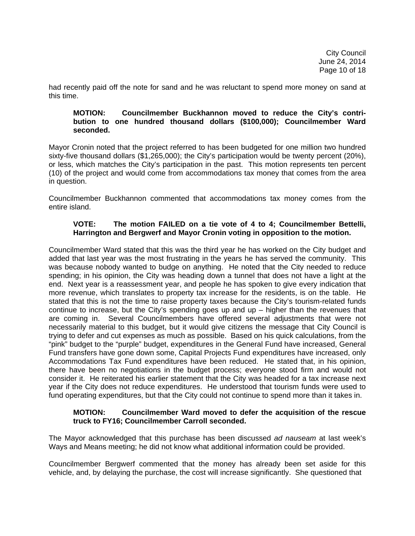had recently paid off the note for sand and he was reluctant to spend more money on sand at this time.

#### **MOTION: Councilmember Buckhannon moved to reduce the City's contri bution to one hundred thousand dollars (\$100,000); Councilmember Ward seconded.**

Mayor Cronin noted that the project referred to has been budgeted for one million two hundred sixty-five thousand dollars (\$1,265,000); the City's participation would be twenty percent (20%), or less, which matches the City's participation in the past. This motion represents ten percent (10) of the project and would come from accommodations tax money that comes from the area in question.

Councilmember Buckhannon commented that accommodations tax money comes from the entire island.

# **VOTE: The motion FAILED on a tie vote of 4 to 4; Councilmember Bettelli, Harrington and Bergwerf and Mayor Cronin voting in opposition to the motion.**

Councilmember Ward stated that this was the third year he has worked on the City budget and added that last year was the most frustrating in the years he has served the community. This was because nobody wanted to budge on anything. He noted that the City needed to reduce spending; in his opinion, the City was heading down a tunnel that does not have a light at the end. Next year is a reassessment year, and people he has spoken to give every indication that more revenue, which translates to property tax increase for the residents, is on the table. He stated that this is not the time to raise property taxes because the City's tourism-related funds continue to increase, but the City's spending goes up and up – higher than the revenues that are coming in. Several Councilmembers have offered several adjustments that were not necessarily material to this budget, but it would give citizens the message that City Council is trying to defer and cut expenses as much as possible. Based on his quick calculations, from the "pink" budget to the "purple" budget, expenditures in the General Fund have increased, General Fund transfers have gone down some, Capital Projects Fund expenditures have increased, only Accommodations Tax Fund expenditures have been reduced. He stated that, in his opinion, there have been no negotiations in the budget process; everyone stood firm and would not consider it. He reiterated his earlier statement that the City was headed for a tax increase next year if the City does not reduce expenditures. He understood that tourism funds were used to fund operating expenditures, but that the City could not continue to spend more than it takes in.

### **MOTION: Councilmember Ward moved to defer the acquisition of the rescue truck to FY16; Councilmember Carroll seconded.**

The Mayor acknowledged that this purchase has been discussed *ad nauseam* at last week's Ways and Means meeting; he did not know what additional information could be provided.

Councilmember Bergwerf commented that the money has already been set aside for this vehicle, and, by delaying the purchase, the cost will increase significantly. She questioned that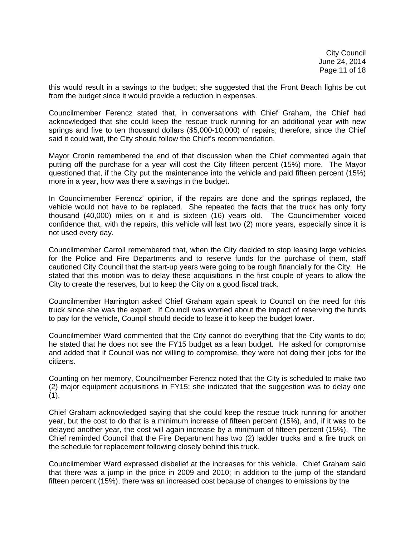City Council June 24, 2014 Page 11 of 18

this would result in a savings to the budget; she suggested that the Front Beach lights be cut from the budget since it would provide a reduction in expenses.

Councilmember Ferencz stated that, in conversations with Chief Graham, the Chief had acknowledged that she could keep the rescue truck running for an additional year with new springs and five to ten thousand dollars (\$5,000-10,000) of repairs; therefore, since the Chief said it could wait, the City should follow the Chief's recommendation.

Mayor Cronin remembered the end of that discussion when the Chief commented again that putting off the purchase for a year will cost the City fifteen percent (15%) more. The Mayor questioned that, if the City put the maintenance into the vehicle and paid fifteen percent (15%) more in a year, how was there a savings in the budget.

In Councilmember Ferencz' opinion, if the repairs are done and the springs replaced, the vehicle would not have to be replaced. She repeated the facts that the truck has only forty thousand (40,000) miles on it and is sixteen (16) years old. The Councilmember voiced confidence that, with the repairs, this vehicle will last two (2) more years, especially since it is not used every day.

Councilmember Carroll remembered that, when the City decided to stop leasing large vehicles for the Police and Fire Departments and to reserve funds for the purchase of them, staff cautioned City Council that the start-up years were going to be rough financially for the City. He stated that this motion was to delay these acquisitions in the first couple of years to allow the City to create the reserves, but to keep the City on a good fiscal track.

Councilmember Harrington asked Chief Graham again speak to Council on the need for this truck since she was the expert. If Council was worried about the impact of reserving the funds to pay for the vehicle, Council should decide to lease it to keep the budget lower.

Councilmember Ward commented that the City cannot do everything that the City wants to do; he stated that he does not see the FY15 budget as a lean budget. He asked for compromise and added that if Council was not willing to compromise, they were not doing their jobs for the citizens.

Counting on her memory, Councilmember Ferencz noted that the City is scheduled to make two (2) major equipment acquisitions in FY15; she indicated that the suggestion was to delay one  $(1).$ 

Chief Graham acknowledged saying that she could keep the rescue truck running for another year, but the cost to do that is a minimum increase of fifteen percent (15%), and, if it was to be delayed another year, the cost will again increase by a minimum of fifteen percent (15%). The Chief reminded Council that the Fire Department has two (2) ladder trucks and a fire truck on the schedule for replacement following closely behind this truck.

Councilmember Ward expressed disbelief at the increases for this vehicle. Chief Graham said that there was a jump in the price in 2009 and 2010; in addition to the jump of the standard fifteen percent (15%), there was an increased cost because of changes to emissions by the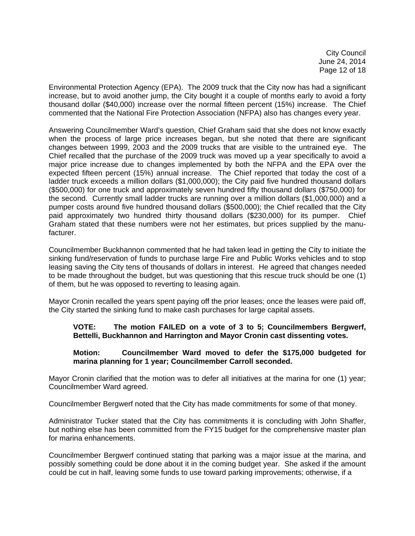City Council June 24, 2014 Page 12 of 18

Environmental Protection Agency (EPA). The 2009 truck that the City now has had a significant increase, but to avoid another jump, the City bought it a couple of months early to avoid a forty thousand dollar (\$40,000) increase over the normal fifteen percent (15%) increase. The Chief commented that the National Fire Protection Association (NFPA) also has changes every year.

Answering Councilmember Ward's question, Chief Graham said that she does not know exactly when the process of large price increases began, but she noted that there are significant changes between 1999, 2003 and the 2009 trucks that are visible to the untrained eye. The Chief recalled that the purchase of the 2009 truck was moved up a year specifically to avoid a major price increase due to changes implemented by both the NFPA and the EPA over the expected fifteen percent (15%) annual increase. The Chief reported that today the cost of a ladder truck exceeds a million dollars (\$1,000,000); the City paid five hundred thousand dollars (\$500,000) for one truck and approximately seven hundred fifty thousand dollars (\$750,000) for the second. Currently small ladder trucks are running over a million dollars (\$1,000,000) and a pumper costs around five hundred thousand dollars (\$500,000); the Chief recalled that the City paid approximately two hundred thirty thousand dollars (\$230,000) for its pumper. Chief Graham stated that these numbers were not her estimates, but prices supplied by the manufacturer.

Councilmember Buckhannon commented that he had taken lead in getting the City to initiate the sinking fund/reservation of funds to purchase large Fire and Public Works vehicles and to stop leasing saving the City tens of thousands of dollars in interest. He agreed that changes needed to be made throughout the budget, but was questioning that this rescue truck should be one (1) of them, but he was opposed to reverting to leasing again.

Mayor Cronin recalled the years spent paying off the prior leases; once the leases were paid off, the City started the sinking fund to make cash purchases for large capital assets.

# **VOTE: The motion FAILED on a vote of 3 to 5; Councilmembers Bergwerf, Bettelli, Buckhannon and Harrington and Mayor Cronin cast dissenting votes.**

### **Motion: Councilmember Ward moved to defer the \$175,000 budgeted for marina planning for 1 year; Councilmember Carroll seconded.**

Mayor Cronin clarified that the motion was to defer all initiatives at the marina for one (1) year; Councilmember Ward agreed.

Councilmember Bergwerf noted that the City has made commitments for some of that money.

Administrator Tucker stated that the City has commitments it is concluding with John Shaffer, but nothing else has been committed from the FY15 budget for the comprehensive master plan for marina enhancements.

Councilmember Bergwerf continued stating that parking was a major issue at the marina, and possibly something could be done about it in the coming budget year. She asked if the amount could be cut in half, leaving some funds to use toward parking improvements; otherwise, if a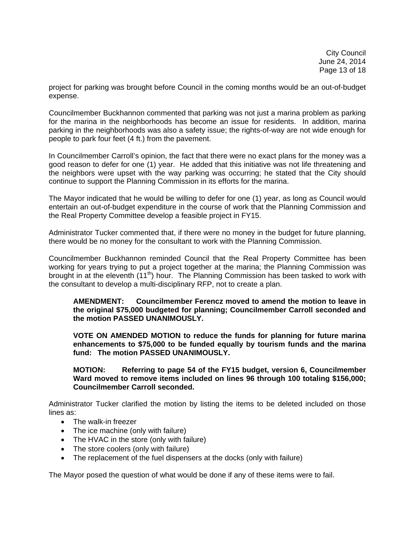project for parking was brought before Council in the coming months would be an out-of-budget expense.

Councilmember Buckhannon commented that parking was not just a marina problem as parking for the marina in the neighborhoods has become an issue for residents. In addition, marina parking in the neighborhoods was also a safety issue; the rights-of-way are not wide enough for people to park four feet (4 ft.) from the pavement.

In Councilmember Carroll's opinion, the fact that there were no exact plans for the money was a good reason to defer for one (1) year. He added that this initiative was not life threatening and the neighbors were upset with the way parking was occurring; he stated that the City should continue to support the Planning Commission in its efforts for the marina.

The Mayor indicated that he would be willing to defer for one (1) year, as long as Council would entertain an out-of-budget expenditure in the course of work that the Planning Commission and the Real Property Committee develop a feasible project in FY15.

Administrator Tucker commented that, if there were no money in the budget for future planning, there would be no money for the consultant to work with the Planning Commission.

Councilmember Buckhannon reminded Council that the Real Property Committee has been working for years trying to put a project together at the marina; the Planning Commission was brought in at the eleventh (11<sup>th</sup>) hour. The Planning Commission has been tasked to work with the consultant to develop a multi-disciplinary RFP, not to create a plan.

**AMENDMENT: Councilmember Ferencz moved to amend the motion to leave in the original \$75,000 budgeted for planning; Councilmember Carroll seconded and the motion PASSED UNANIMOUSLY.** 

 **VOTE ON AMENDED MOTION to reduce the funds for planning for future marina enhancements to \$75,000 to be funded equally by tourism funds and the marina fund: The motion PASSED UNANIMOUSLY.** 

 **MOTION: Referring to page 54 of the FY15 budget, version 6, Councilmember Ward moved to remove items included on lines 96 through 100 totaling \$156,000; Councilmember Carroll seconded.** 

Administrator Tucker clarified the motion by listing the items to be deleted included on those lines as:

- The walk-in freezer
- The ice machine (only with failure)
- The HVAC in the store (only with failure)
- The store coolers (only with failure)
- The replacement of the fuel dispensers at the docks (only with failure)

The Mayor posed the question of what would be done if any of these items were to fail.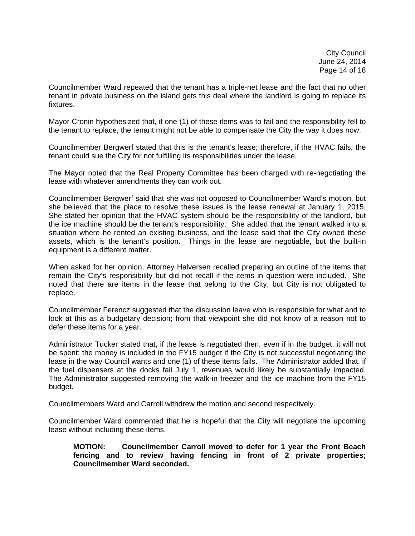City Council June 24, 2014 Page 14 of 18

Councilmember Ward repeated that the tenant has a triple-net lease and the fact that no other tenant in private business on the island gets this deal where the landlord is going to replace its fixtures.

Mayor Cronin hypothesized that, if one (1) of these items was to fail and the responsibility fell to the tenant to replace, the tenant might not be able to compensate the City the way it does now.

Councilmember Bergwerf stated that this is the tenant's lease; therefore, if the HVAC fails, the tenant could sue the City for not fulfilling its responsibilities under the lease.

The Mayor noted that the Real Property Committee has been charged with re-negotiating the lease with whatever amendments they can work out.

Councilmember Bergwerf said that she was not opposed to Councilmember Ward's motion, but she believed that the place to resolve these issues is the lease renewal at January 1, 2015. She stated her opinion that the HVAC system should be the responsibility of the landlord, but the ice machine should be the tenant's responsibility. She added that the tenant walked into a situation where he rented an existing business, and the lease said that the City owned these assets, which is the tenant's position. Things in the lease are negotiable, but the built-in equipment is a different matter.

When asked for her opinion, Attorney Halversen recalled preparing an outline of the items that remain the City's responsibility but did not recall if the items in question were included. She noted that there are items in the lease that belong to the City, but City is not obligated to replace.

Councilmember Ferencz suggested that the discussion leave who is responsible for what and to look at this as a budgetary decision; from that viewpoint she did not know of a reason not to defer these items for a year.

Administrator Tucker stated that, if the lease is negotiated then, even if in the budget, it will not be spent; the money is included in the FY15 budget if the City is not successful negotiating the lease in the way Council wants and one (1) of these items fails. The Administrator added that, if the fuel dispensers at the docks fail July 1, revenues would likely be substantially impacted. The Administrator suggested removing the walk-in freezer and the ice machine from the FY15 budget.

Councilmembers Ward and Carroll withdrew the motion and second respectively.

Councilmember Ward commented that he is hopeful that the City will negotiate the upcoming lease without including these items.

**MOTION: Councilmember Carroll moved to defer for 1 year the Front Beach fencing and to review having fencing in front of 2 private properties; Councilmember Ward seconded.**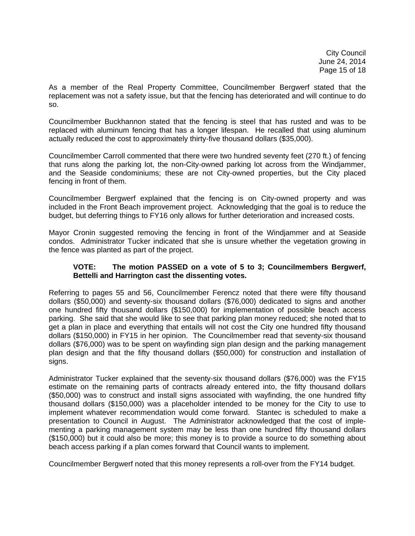City Council June 24, 2014 Page 15 of 18

As a member of the Real Property Committee, Councilmember Bergwerf stated that the replacement was not a safety issue, but that the fencing has deteriorated and will continue to do so.

Councilmember Buckhannon stated that the fencing is steel that has rusted and was to be replaced with aluminum fencing that has a longer lifespan. He recalled that using aluminum actually reduced the cost to approximately thirty-five thousand dollars (\$35,000).

Councilmember Carroll commented that there were two hundred seventy feet (270 ft.) of fencing that runs along the parking lot, the non-City-owned parking lot across from the Windjammer, and the Seaside condominiums; these are not City-owned properties, but the City placed fencing in front of them.

Councilmember Bergwerf explained that the fencing is on City-owned property and was included in the Front Beach improvement project. Acknowledging that the goal is to reduce the budget, but deferring things to FY16 only allows for further deterioration and increased costs.

Mayor Cronin suggested removing the fencing in front of the Windjammer and at Seaside condos. Administrator Tucker indicated that she is unsure whether the vegetation growing in the fence was planted as part of the project.

### **VOTE: The motion PASSED on a vote of 5 to 3; Councilmembers Bergwerf, Bettelli and Harrington cast the dissenting votes.**

Referring to pages 55 and 56, Councilmember Ferencz noted that there were fifty thousand dollars (\$50,000) and seventy-six thousand dollars (\$76,000) dedicated to signs and another one hundred fifty thousand dollars (\$150,000) for implementation of possible beach access parking. She said that she would like to see that parking plan money reduced; she noted that to get a plan in place and everything that entails will not cost the City one hundred fifty thousand dollars (\$150,000) in FY15 in her opinion. The Councilmember read that seventy-six thousand dollars (\$76,000) was to be spent on wayfinding sign plan design and the parking management plan design and that the fifty thousand dollars (\$50,000) for construction and installation of signs.

Administrator Tucker explained that the seventy-six thousand dollars (\$76,000) was the FY15 estimate on the remaining parts of contracts already entered into, the fifty thousand dollars (\$50,000) was to construct and install signs associated with wayfinding, the one hundred fifty thousand dollars (\$150,000) was a placeholder intended to be money for the City to use to implement whatever recommendation would come forward. Stantec is scheduled to make a presentation to Council in August. The Administrator acknowledged that the cost of implementing a parking management system may be less than one hundred fifty thousand dollars (\$150,000) but it could also be more; this money is to provide a source to do something about beach access parking if a plan comes forward that Council wants to implement.

Councilmember Bergwerf noted that this money represents a roll-over from the FY14 budget.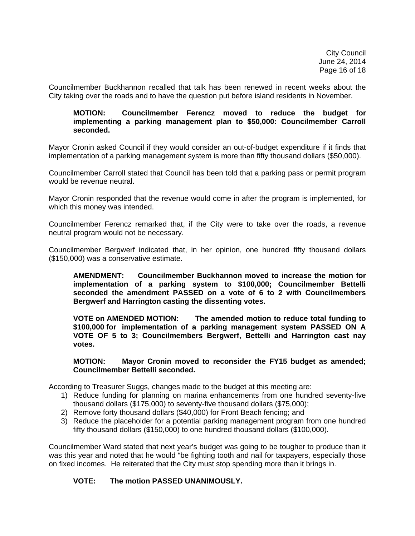Councilmember Buckhannon recalled that talk has been renewed in recent weeks about the City taking over the roads and to have the question put before island residents in November.

#### **MOTION: Councilmember Ferencz moved to reduce the budget for implementing a parking management plan to \$50,000: Councilmember Carroll seconded.**

Mayor Cronin asked Council if they would consider an out-of-budget expenditure if it finds that implementation of a parking management system is more than fifty thousand dollars (\$50,000).

Councilmember Carroll stated that Council has been told that a parking pass or permit program would be revenue neutral.

Mayor Cronin responded that the revenue would come in after the program is implemented, for which this money was intended.

Councilmember Ferencz remarked that, if the City were to take over the roads, a revenue neutral program would not be necessary.

Councilmember Bergwerf indicated that, in her opinion, one hundred fifty thousand dollars (\$150,000) was a conservative estimate.

**AMENDMENT: Councilmember Buckhannon moved to increase the motion for implementation of a parking system to \$100,000; Councilmember Bettelli seconded the amendment PASSED on a vote of 6 to 2 with Councilmembers Bergwerf and Harrington casting the dissenting votes.** 

 **VOTE on AMENDED MOTION: The amended motion to reduce total funding to \$100,000 for implementation of a parking management system PASSED ON A VOTE OF 5 to 3; Councilmembers Bergwerf, Bettelli and Harrington cast nay votes.** 

 **MOTION: Mayor Cronin moved to reconsider the FY15 budget as amended; Councilmember Bettelli seconded.** 

According to Treasurer Suggs, changes made to the budget at this meeting are:

- 1) Reduce funding for planning on marina enhancements from one hundred seventy-five thousand dollars (\$175,000) to seventy-five thousand dollars (\$75,000);
- 2) Remove forty thousand dollars (\$40,000) for Front Beach fencing; and
- 3) Reduce the placeholder for a potential parking management program from one hundred fifty thousand dollars (\$150,000) to one hundred thousand dollars (\$100,000).

Councilmember Ward stated that next year's budget was going to be tougher to produce than it was this year and noted that he would "be fighting tooth and nail for taxpayers, especially those on fixed incomes. He reiterated that the City must stop spending more than it brings in.

# **VOTE: The motion PASSED UNANIMOUSLY.**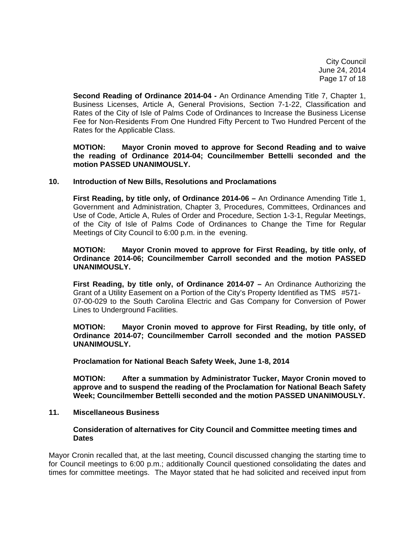City Council June 24, 2014 Page 17 of 18

 **Second Reading of Ordinance 2014-04 -** An Ordinance Amending Title 7, Chapter 1, Business Licenses, Article A, General Provisions, Section 7-1-22, Classification and Rates of the City of Isle of Palms Code of Ordinances to Increase the Business License Fee for Non-Residents From One Hundred Fifty Percent to Two Hundred Percent of the Rates for the Applicable Class.

**MOTION: Mayor Cronin moved to approve for Second Reading and to waive the reading of Ordinance 2014-04; Councilmember Bettelli seconded and the motion PASSED UNANIMOUSLY.** 

#### **10. Introduction of New Bills, Resolutions and Proclamations**

 **First Reading, by title only, of Ordinance 2014-06 –** An Ordinance Amending Title 1, Government and Administration, Chapter 3, Procedures, Committees, Ordinances and Use of Code, Article A, Rules of Order and Procedure, Section 1-3-1, Regular Meetings, of the City of Isle of Palms Code of Ordinances to Change the Time for Regular Meetings of City Council to 6:00 p.m. in the evening.

#### **MOTION: Mayor Cronin moved to approve for First Reading, by title only, of Ordinance 2014-06; Councilmember Carroll seconded and the motion PASSED UNANIMOUSLY.**

 **First Reading, by title only, of Ordinance 2014-07 –** An Ordinance Authorizing the Grant of a Utility Easement on a Portion of the City's Property Identified as TMS #571- 07-00-029 to the South Carolina Electric and Gas Company for Conversion of Power Lines to Underground Facilities.

**MOTION: Mayor Cronin moved to approve for First Reading, by title only, of Ordinance 2014-07; Councilmember Carroll seconded and the motion PASSED UNANIMOUSLY.** 

 **Proclamation for National Beach Safety Week, June 1-8, 2014** 

 **MOTION: After a summation by Administrator Tucker, Mayor Cronin moved to approve and to suspend the reading of the Proclamation for National Beach Safety Week; Councilmember Bettelli seconded and the motion PASSED UNANIMOUSLY.** 

#### **11. Miscellaneous Business**

#### **Consideration of alternatives for City Council and Committee meeting times and Dates**

Mayor Cronin recalled that, at the last meeting, Council discussed changing the starting time to for Council meetings to 6:00 p.m.; additionally Council questioned consolidating the dates and times for committee meetings. The Mayor stated that he had solicited and received input from